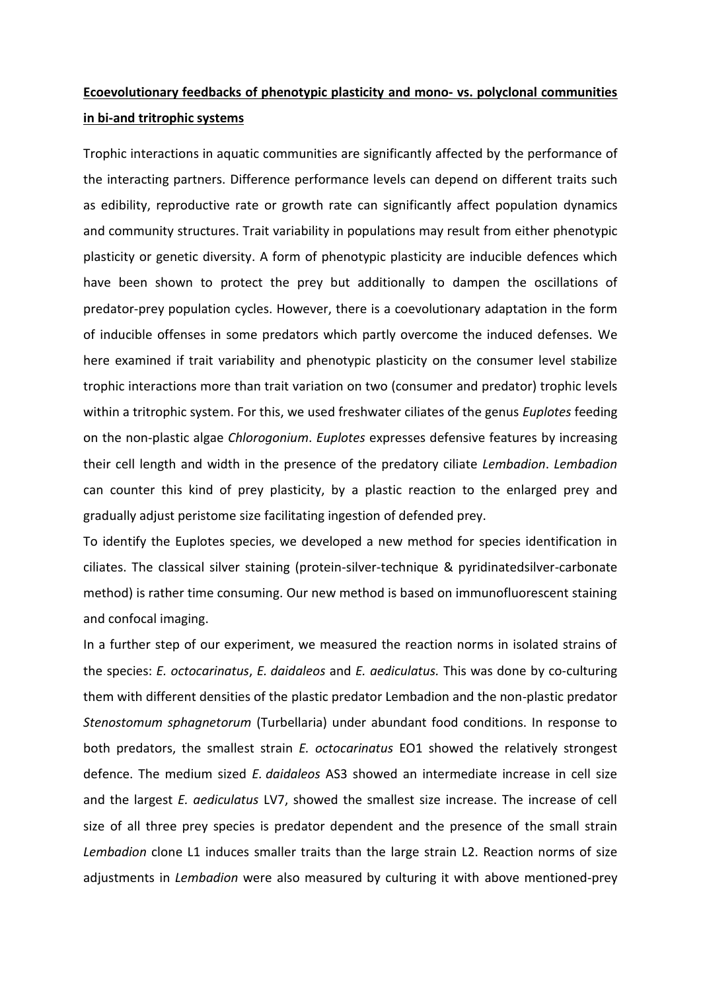## **Ecoevolutionary feedbacks of phenotypic plasticity and mono- vs. polyclonal communities in bi-and tritrophic systems**

Trophic interactions in aquatic communities are significantly affected by the performance of the interacting partners. Difference performance levels can depend on different traits such as edibility, reproductive rate or growth rate can significantly affect population dynamics and community structures. Trait variability in populations may result from either phenotypic plasticity or genetic diversity. A form of phenotypic plasticity are inducible defences which have been shown to protect the prey but additionally to dampen the oscillations of predator-prey population cycles. However, there is a coevolutionary adaptation in the form of inducible offenses in some predators which partly overcome the induced defenses. We here examined if trait variability and phenotypic plasticity on the consumer level stabilize trophic interactions more than trait variation on two (consumer and predator) trophic levels within a tritrophic system. For this, we used freshwater ciliates of the genus *Euplotes* feeding on the non-plastic algae *Chlorogonium*. *Euplotes* expresses defensive features by increasing their cell length and width in the presence of the predatory ciliate *Lembadion*. *Lembadion*  can counter this kind of prey plasticity, by a plastic reaction to the enlarged prey and gradually adjust peristome size facilitating ingestion of defended prey.

To identify the Euplotes species, we developed a new method for species identification in ciliates. The classical silver staining (protein-silver-technique & pyridinatedsilver-carbonate method) is rather time consuming. Our new method is based on immunofluorescent staining and confocal imaging.

In a further step of our experiment, we measured the reaction norms in isolated strains of the species: *E. octocarinatus*, *E. daidaleos* and *E. aediculatus.* This was done by co-culturing them with different densities of the plastic predator Lembadion and the non-plastic predator *Stenostomum sphagnetorum* (Turbellaria) under abundant food conditions. In response to both predators, the smallest strain *E. octocarinatus* EO1 showed the relatively strongest defence. The medium sized *E. daidaleos* AS3 showed an intermediate increase in cell size and the largest *E. aediculatus* LV7, showed the smallest size increase. The increase of cell size of all three prey species is predator dependent and the presence of the small strain *Lembadion* clone L1 induces smaller traits than the large strain L2. Reaction norms of size adjustments in *Lembadion* were also measured by culturing it with above mentioned-prey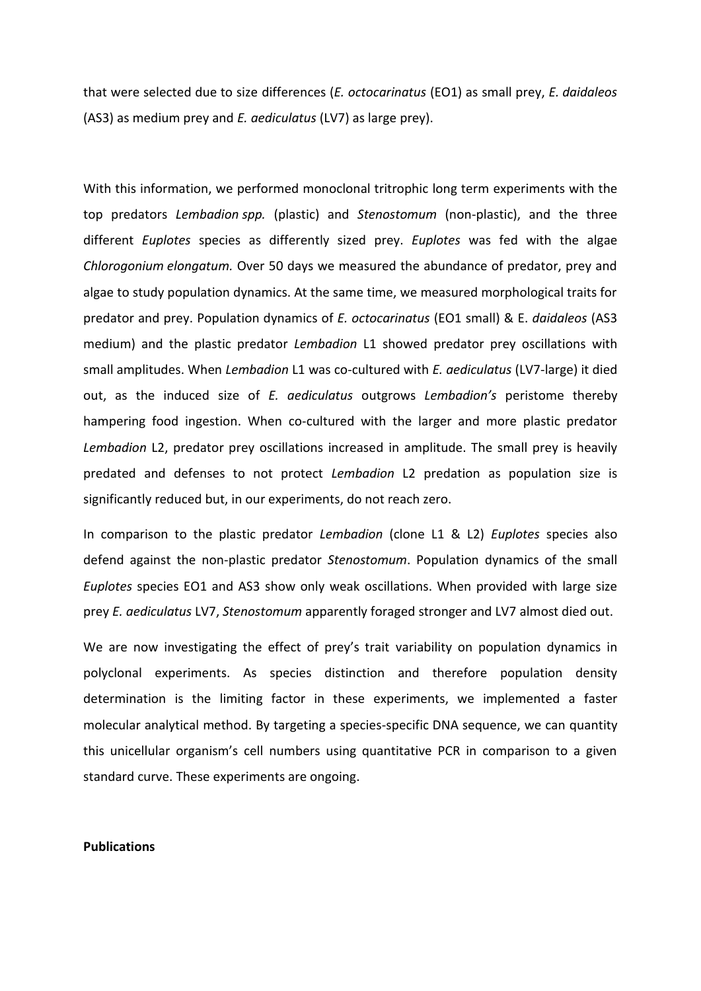that were selected due to size differences (*E. octocarinatus* (EO1) as small prey, *E. daidaleos*  (AS3) as medium prey and *E. aediculatus* (LV7) as large prey).

With this information, we performed monoclonal tritrophic long term experiments with the top predators *Lembadion spp.* (plastic) and *Stenostomum* (non-plastic), and the three different *Euplotes* species as differently sized prey. *Euplotes* was fed with the algae *Chlorogonium elongatum.* Over 50 days we measured the abundance of predator, prey and algae to study population dynamics. At the same time, we measured morphological traits for predator and prey. Population dynamics of *E. octocarinatus* (EO1 small) & E. *daidaleos* (AS3 medium) and the plastic predator *Lembadion* L1 showed predator prey oscillations with small amplitudes. When *Lembadion* L1 was co-cultured with *E. aediculatus* (LV7-large) it died out, as the induced size of *E. aediculatus* outgrows *Lembadion's* peristome thereby hampering food ingestion. When co-cultured with the larger and more plastic predator *Lembadion* L2, predator prey oscillations increased in amplitude. The small prey is heavily predated and defenses to not protect *Lembadion* L2 predation as population size is significantly reduced but, in our experiments, do not reach zero.

In comparison to the plastic predator *Lembadion* (clone L1 & L2) *Euplotes* species also defend against the non-plastic predator *Stenostomum*. Population dynamics of the small *Euplotes* species EO1 and AS3 show only weak oscillations. When provided with large size prey *E. aediculatus* LV7, *Stenostomum* apparently foraged stronger and LV7 almost died out.

We are now investigating the effect of prey's trait variability on population dynamics in polyclonal experiments. As species distinction and therefore population density determination is the limiting factor in these experiments, we implemented a faster molecular analytical method. By targeting a species-specific DNA sequence, we can quantity this unicellular organism's cell numbers using quantitative PCR in comparison to a given standard curve. These experiments are ongoing.

## **Publications**